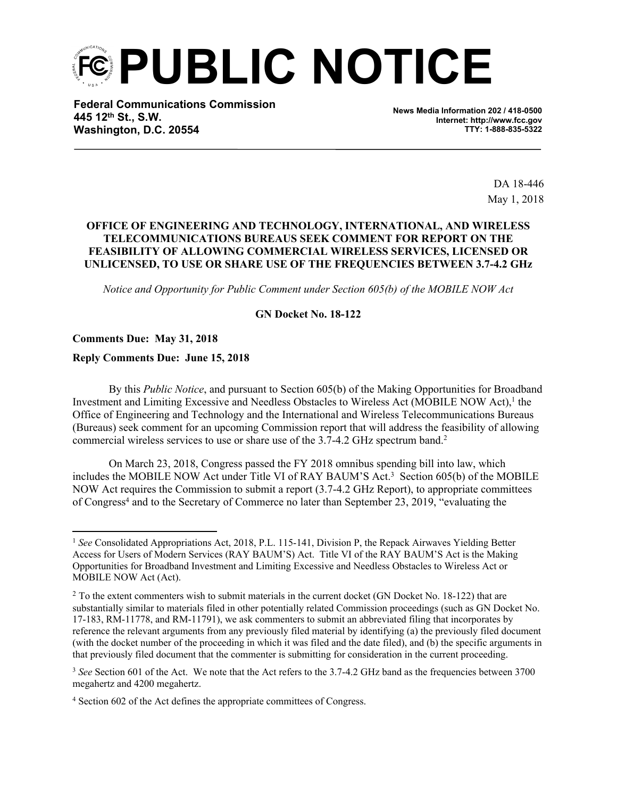**PUBLIC NOTICE**

**Federal Communications Commission 445 12th St., S.W. Washington, D.C. 20554**

**News Media Information 202 / 418-0500 Internet: http://www.fcc.gov TTY: 1-888-835-5322**

> DA 18-446 May 1, 2018

# **OFFICE OF ENGINEERING AND TECHNOLOGY, INTERNATIONAL, AND WIRELESS TELECOMMUNICATIONS BUREAUS SEEK COMMENT FOR REPORT ON THE FEASIBILITY OF ALLOWING COMMERCIAL WIRELESS SERVICES, LICENSED OR UNLICENSED, TO USE OR SHARE USE OF THE FREQUENCIES BETWEEN 3.7-4.2 GHz**

*Notice and Opportunity for Public Comment under Section 605(b) of the MOBILE NOW Act*

### **GN Docket No. 18-122**

#### **Comments Due: May 31, 2018**

#### **Reply Comments Due: June 15, 2018**

By this *Public Notice*, and pursuant to Section 605(b) of the Making Opportunities for Broadband Investment and Limiting Excessive and Needless Obstacles to Wireless Act (MOBILE NOW Act),<sup>1</sup> the Office of Engineering and Technology and the International and Wireless Telecommunications Bureaus (Bureaus) seek comment for an upcoming Commission report that will address the feasibility of allowing commercial wireless services to use or share use of the 3.7-4.2 GHz spectrum band.<sup>2</sup>

On March 23, 2018, Congress passed the FY 2018 omnibus spending bill into law, which includes the MOBILE NOW Act under Title VI of RAY BAUM'S Act.<sup>3</sup> Section 605(b) of the MOBILE NOW Act requires the Commission to submit a report (3.7-4.2 GHz Report), to appropriate committees of Congress<sup>4</sup> and to the Secretary of Commerce no later than September 23, 2019, "evaluating the

<sup>1</sup> *See* Consolidated Appropriations Act, 2018, P.L. 115-141, Division P, the Repack Airwaves Yielding Better Access for Users of Modern Services (RAY BAUM'S) Act. Title VI of the RAY BAUM'S Act is the Making Opportunities for Broadband Investment and Limiting Excessive and Needless Obstacles to Wireless Act or MOBILE NOW Act (Act).

<sup>&</sup>lt;sup>2</sup> To the extent commenters wish to submit materials in the current docket (GN Docket No. 18-122) that are substantially similar to materials filed in other potentially related Commission proceedings (such as GN Docket No. 17-183, RM-11778, and RM-11791), we ask commenters to submit an abbreviated filing that incorporates by reference the relevant arguments from any previously filed material by identifying (a) the previously filed document (with the docket number of the proceeding in which it was filed and the date filed), and (b) the specific arguments in that previously filed document that the commenter is submitting for consideration in the current proceeding.

<sup>&</sup>lt;sup>3</sup> See Section 601 of the Act. We note that the Act refers to the 3.7-4.2 GHz band as the frequencies between 3700 megahertz and 4200 megahertz.

<sup>&</sup>lt;sup>4</sup> Section 602 of the Act defines the appropriate committees of Congress.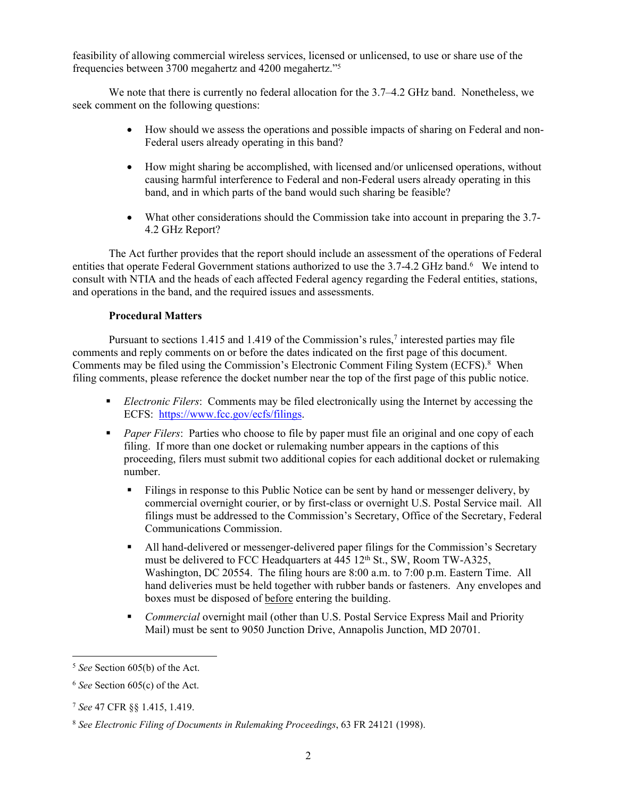feasibility of allowing commercial wireless services, licensed or unlicensed, to use or share use of the frequencies between 3700 megahertz and 4200 megahertz."<sup>5</sup>

We note that there is currently no federal allocation for the 3.7–4.2 GHz band. Nonetheless, we seek comment on the following questions:

- How should we assess the operations and possible impacts of sharing on Federal and non-Federal users already operating in this band?
- How might sharing be accomplished, with licensed and/or unlicensed operations, without causing harmful interference to Federal and non-Federal users already operating in this band, and in which parts of the band would such sharing be feasible?
- What other considerations should the Commission take into account in preparing the 3.7- 4.2 GHz Report?

The Act further provides that the report should include an assessment of the operations of Federal entities that operate Federal Government stations authorized to use the 3.7-4.2 GHz band.<sup>6</sup> We intend to consult with NTIA and the heads of each affected Federal agency regarding the Federal entities, stations, and operations in the band, and the required issues and assessments.

# **Procedural Matters**

Pursuant to sections 1.415 and 1.419 of the Commission's rules,<sup>7</sup> interested parties may file comments and reply comments on or before the dates indicated on the first page of this document. Comments may be filed using the Commission's Electronic Comment Filing System (ECFS).<sup>8</sup> When filing comments, please reference the docket number near the top of the first page of this public notice.

- *Electronic Filers*: Comments may be filed electronically using the Internet by accessing the ECFS: [https://www.fcc.gov/ecfs/filings.](https://www.fcc.gov/ecfs/filings)
- **Paper Filers:** Parties who choose to file by paper must file an original and one copy of each filing. If more than one docket or rulemaking number appears in the captions of this proceeding, filers must submit two additional copies for each additional docket or rulemaking number.
	- Filings in response to this Public Notice can be sent by hand or messenger delivery, by commercial overnight courier, or by first-class or overnight U.S. Postal Service mail. All filings must be addressed to the Commission's Secretary, Office of the Secretary, Federal Communications Commission.
	- All hand-delivered or messenger-delivered paper filings for the Commission's Secretary must be delivered to FCC Headquarters at 445 12<sup>th</sup> St., SW, Room TW-A325, Washington, DC 20554. The filing hours are 8:00 a.m. to 7:00 p.m. Eastern Time. All hand deliveries must be held together with rubber bands or fasteners. Any envelopes and boxes must be disposed of before entering the building.
	- *Commercial* overnight mail (other than U.S. Postal Service Express Mail and Priority Mail) must be sent to 9050 Junction Drive, Annapolis Junction, MD 20701.

<sup>5</sup> *See* Section 605(b) of the Act.

<sup>6</sup> *See* Section 605(c) of the Act.

<sup>7</sup> *See* 47 CFR §§ 1.415, 1.419.

<sup>8</sup> *See Electronic Filing of Documents in Rulemaking Proceedings*, 63 FR 24121 (1998).